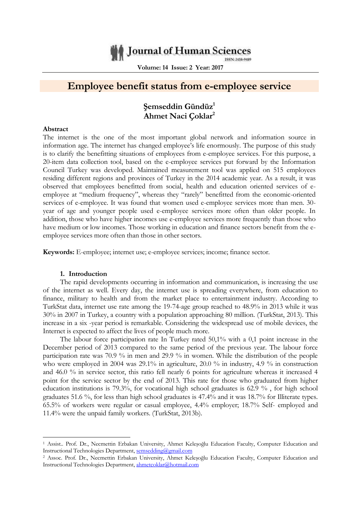# Journal of Human Sciences

ISSN: 2458-9489

**Volume: 14 Issue: 2 Year: 2017**

# **Employee benefit status from e-employee service**

# **Şemseddin Gündüz<sup>1</sup> Ahmet Naci Çoklar<sup>2</sup>**

#### **Abstract**

The internet is the one of the most important global network and information source in information age. The internet has changed employee's life enormously. The purpose of this study is to clarify the benefitting situations of employees from e-employee services. For this purpose, a 20-item data collection tool, based on the e-employee services put forward by the Information Council Turkey was developed. Maintained measurement tool was applied on 515 employees residing different regions and provinces of Turkey in the 2014 academic year. As a result, it was observed that employees benefitted from social, health and education oriented services of eemployee at "medium frequency", whereas they "rarely" benefitted from the economic-oriented services of e-employee. It was found that women used e-employee services more than men. 30 year of age and younger people used e-employee services more often than older people. In addition, those who have higher incomes use e-employee services more frequently than those who have medium or low incomes. Those working in education and finance sectors benefit from the eemployee services more often than those in other sectors.

**Keywords:** E-employee; internet use; e-employee services; income; finance sector.

#### **1. Introduction**

-

The rapid developments occurring in information and communication, is increasing the use of the internet as well. Every day, the internet use is spreading everywhere, from education to finance, military to health and from the market place to entertainment industry. According to TurkStat data, internet use rate among the 19-74-age group reached to 48.9% in 2013 while it was 30% in 2007 in Turkey, a country with a population approaching 80 million. (TurkStat, 2013). This increase in a six -year period is remarkable. Considering the widespread use of mobile devices, the Internet is expected to affect the lives of people much more.

The labour force participation rate In Turkey rated 50,1% with a 0,1 point increase in the December period of 2013 compared to the same period of the previous year. The labour force participation rate was 70.9 % in men and 29.9 % in women. While the distribution of the people who were employed in 2004 was 29.1% in agriculture, 20.0 % in industry, 4.9 % in construction and 46.0 % in service sector, this ratio fell nearly 6 points for agriculture whereas it increased 4 point for the service sector by the end of 2013. This rate for those who graduated from higher education institutions is 79.3%, for vocational high school graduates is 62.9 % , for high school graduates 51.6 %, for less than high school graduates is 47.4% and it was 18.7% for Illiterate types. 65.5% of workers were regular or casual employee, 4.4% employer; 18.7% Self- employed and 11.4% were the unpaid family workers. (TurkStat, 2013b).

<sup>1</sup> Assist.. Prof. Dr., Necmettin Erbakan University, Ahmet Keleşoğlu Education Faculty, Computer Education and Instructional Technologies Department, [semsedding@gmail.com](mailto:semsedding@gmail.com)

<sup>2</sup> Assoc. Prof. Dr., Necmettin Erbakan University, Ahmet Keleşoğlu Education Faculty, Computer Education and Instructional Technologies Department, [ahmetcoklar@hotmail.com](mailto:ahmetcoklar@hotmail.com)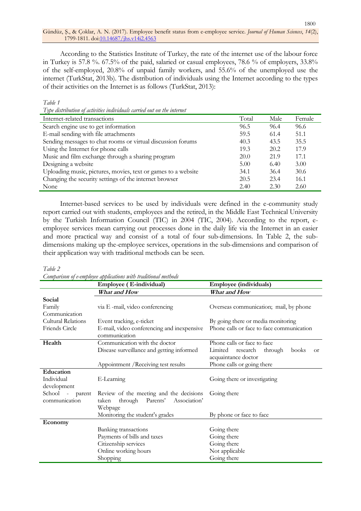According to the Statistics Institute of Turkey, the rate of the internet use of the labour force in Turkey is 57.8 %. 67.5% of the paid, salaried or casual employees, 78.6 % of employers, 33.8% of the self-employed, 20.8% of unpaid family workers, and 55.6% of the unemployed use the internet (TurkStat, 2013b). The distribution of individuals using the Internet according to the types of their activities on the Internet is as follows (TurkStat, 2013):

#### *Table 1*

*Type distribution of activities individuals carried out on the internet*

| $\cdot$                                                       |       |      |        |
|---------------------------------------------------------------|-------|------|--------|
| Internet-related transactions                                 | Total | Male | Female |
| Search engine use to get information                          | 96.5  | 96.4 | 96.6   |
| E-mail sending with file attachments                          | 59.5  | 61.4 | 51.1   |
| Sending messages to chat rooms or virtual discussion forums   | 40.3  | 43.5 | 35.5   |
| Using the Internet for phone calls                            | 19.3  | 20.2 | 17.9   |
| Music and film exchange through a sharing program             | 20.0  | 21.9 | 17.1   |
| Designing a website                                           | 5.00  | 6.40 | 3.00   |
| Uploading music, pictures, movies, text or games to a website | 34.1  | 36.4 | 30.6   |
| Changing the security settings of the internet browser        | 20.5  | 23.4 | 16.1   |
| None                                                          | 2.40  | 2.30 | 2.60   |

Internet-based services to be used by individuals were defined in the e-community study report carried out with students, employees and the retired, in the Middle East Technical University by the Turkish Information Council (TIC) in 2004 (TIC, 2004). According to the report, eemployee services mean carrying out processes done in the daily life via the Internet in an easier and more practical way and consist of a total of four sub-dimensions. In Table 2, the subdimensions making up the-employee services, operations in the sub-dimensions and comparison of their application way with traditional methods can be seen.

#### *Table 2*

*Comparison of e-employee applications with traditional methods*

|                                  | Employee (E-individual)                                                                            | <b>Employee (individuals)</b>                                                |  |  |  |  |
|----------------------------------|----------------------------------------------------------------------------------------------------|------------------------------------------------------------------------------|--|--|--|--|
|                                  | What and How                                                                                       | What and How                                                                 |  |  |  |  |
| Social                           |                                                                                                    |                                                                              |  |  |  |  |
| Family                           | via E -mail, video conferencing                                                                    | Overseas communication; mail, by phone                                       |  |  |  |  |
| Communication                    |                                                                                                    |                                                                              |  |  |  |  |
| Cultural Relations               | Event tracking, e-ticket                                                                           | By going there or media monitoring                                           |  |  |  |  |
| Friends Circle                   | E-mail, video conferencing and inexpensive<br>communication                                        | Phone calls or face to face communication                                    |  |  |  |  |
| Health                           | Communication with the doctor                                                                      | Phone calls or face to face                                                  |  |  |  |  |
|                                  | Disease surveillance and getting informed                                                          | Limited research<br>through<br>books<br><sub>Or</sub><br>acquaintance doctor |  |  |  |  |
|                                  | Appointment / Receiving test results                                                               | Phone calls or going there                                                   |  |  |  |  |
| Education                        |                                                                                                    |                                                                              |  |  |  |  |
| Individual                       | E-Learning                                                                                         | Going there or investigating                                                 |  |  |  |  |
| development                      |                                                                                                    |                                                                              |  |  |  |  |
| School - parent<br>communication | Review of the meeting and the decisions<br>Association'<br>through<br>Parents'<br>taken<br>Webpage | Going there                                                                  |  |  |  |  |
|                                  | Monitoring the student's grades                                                                    | By phone or face to face                                                     |  |  |  |  |
| Economy                          |                                                                                                    |                                                                              |  |  |  |  |
|                                  | Banking transactions                                                                               | Going there                                                                  |  |  |  |  |
|                                  | Payments of bills and taxes                                                                        | Going there                                                                  |  |  |  |  |
|                                  | Citizenship services                                                                               | Going there                                                                  |  |  |  |  |
|                                  | Online working hours                                                                               | Not applicable                                                               |  |  |  |  |
|                                  | Shopping                                                                                           | Going there                                                                  |  |  |  |  |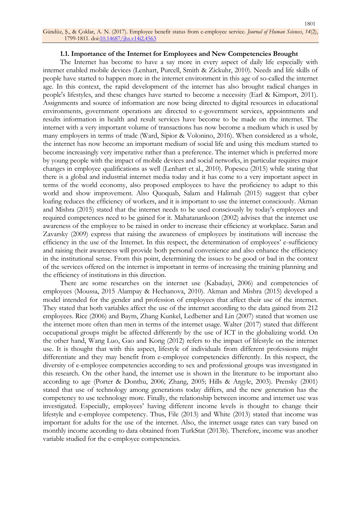#### **1.1. Importance of the Internet for Employees and New Competencies Brought**

The Internet has become to have a say more in every aspect of daily life especially with internet enabled mobile devices (Lenhart, Purcell, Smith & Zickuhr, 2010). Needs and life skills of people have started to happen more in the internet environment in this age of so-called the internet age. In this context, the rapid development of the internet has also brought radical changes in people's lifestyles, and these changes have started to become a necessity (Earl & Kimport, 2011). Assignments and source of information are now being directed to digital resources in educational environments, government operations are directed to e-government services, appointments and results information in health and result services have become to be made on the internet. The internet with a very important volume of transactions has now become a medium which is used by many employers in terms of trade (Ward, Sipior & Volonino, 2016). When considered as a whole, the internet has now become an important medium of social life and using this medium started to become increasingly very imperative rather than a preference. The internet which is preferred more by young people with the impact of mobile devices and social networks, in particular requires major changes in employee qualifications as well (Lenhart et al., 2010). Popescu (2015) while stating that there is a global and industrial internet media today and it has come to a very important aspect in terms of the world economy, also proposed employees to have the proficiency to adapt to this world and show improvement. Also Quoquab, Salam and Halimah (2015) suggest that cyber loafing reduces the efficiency of workers, and it is important to use the internet consciously. Akman and Mishra (2015) stated that the internet needs to be used consciously by today's employees and required competences need to be gained for it. Mahatanankoon (2002) advises that the internet use awareness of the employee to be raised in order to increase their efficiency at workplace. Saran and Zavarsky (2009) express that raising the awareness of employees by institutions will increase the efficiency in the use of the Internet. In this respect, the determination of employees' e-sufficiency and raising their awareness will provide both personal convenience and also enhance the efficiency in the institutional sense. From this point, determining the issues to be good or bad in the context of the services offered on the internet is important in terms of increasing the training planning and the efficiency of institutions in this direction.

There are some researches on the internet use (Kabadayi, 2006) and competencies of employees (Moussa, 2015 Alampay & Hechanova, 2010). Akman and Mishra (2015) developed a model intended for the gender and profession of employees that affect their use of the internet. They stated that both variables affect the use of the internet according to the data gained from 212 employees. Rice (2006) and Baym, Zhang Kunkel, Ledbetter and Lin (2007) stated that women use the internet more often than men in terms of the internet usage. Walter (2017) stated that different occupational groups might be affected differently by the use of ICT in the globalizing world. On the other hand, Wang Luo, Gao and Kong (2012) refers to the impact of lifestyle on the internet use. It is thought that with this aspect, lifestyle of individuals from different professions might differentiate and they may benefit from e-employee competencies differently. In this respect, the diversity of e-employee competencies according to sex and professional groups was investigated in this research. On the other hand, the internet use is shown in the literature to be important also according to age (Porter & Donthu, 2006; Zhang, 2005; Hills & Argyle, 2003). Prensky (2001) stated that use of technology among generations today differs, and the new generation has the competency to use technology more. Finally, the relationship between income and internet use was investigated. Especially, employees' having different income levels is thought to change their lifestyle and e-employee competency. Thus, File (2013) and White (2013) stated that income was important for adults for the use of the internet. Also, the internet usage rates can vary based on monthly income according to data obtained from TurkStat (2013b). Therefore, income was another variable studied for the e-employee competencies.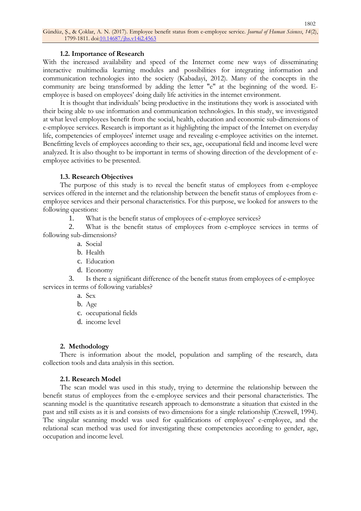### **1.2. Importance of Research**

With the increased availability and speed of the Internet come new ways of disseminating interactive multimedia learning modules and possibilities for integrating information and communication technologies into the society (Kabadayi, 2012). Many of the concepts in the community are being transformed by adding the letter "e" at the beginning of the word. Eemployee is based on employees' doing daily life activities in the internet environment.

It is thought that individuals' being productive in the institutions they work is associated with their being able to use information and communication technologies. In this study, we investigated at what level employees benefit from the social, health, education and economic sub-dimensions of e-employee services. Research is important as it highlighting the impact of the Internet on everyday life, competencies of employees' internet usage and revealing e-employee activities on the internet. Benefitting levels of employees according to their sex, age, occupational field and income level were analyzed. It is also thought to be important in terms of showing direction of the development of eemployee activities to be presented.

## **1.3. Research Objectives**

The purpose of this study is to reveal the benefit status of employees from e-employee services offered in the internet and the relationship between the benefit status of employees from eemployee services and their personal characteristics. For this purpose, we looked for answers to the following questions:

1. What is the benefit status of employees of e-employee services?

2. What is the benefit status of employees from e-employee services in terms of following sub-dimensions?

- a. Social
- b. Health
- c. Education
- d. Economy

3. Is there a significant difference of the benefit status from employees of e-employee services in terms of following variables?

- a. Sex
- b. Age
- c. occupational fields
- d. income level

# **2. Methodology**

There is information about the model, population and sampling of the research, data collection tools and data analysis in this section.

#### **2.1. Research Model**

The scan model was used in this study, trying to determine the relationship between the benefit status of employees from the e-employee services and their personal characteristics. The scanning model is the quantitative research approach to demonstrate a situation that existed in the past and still exists as it is and consists of two dimensions for a single relationship (Creswell, 1994). The singular scanning model was used for qualifications of employees' e-employee, and the relational scan method was used for investigating these competencies according to gender, age, occupation and income level.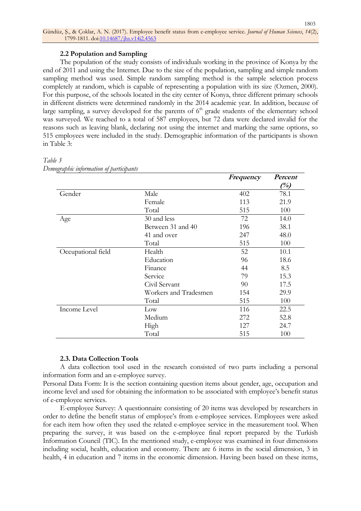## **2.2 Population and Sampling**

The population of the study consists of individuals working in the province of Konya by the end of 2011 and using the Internet. Due to the size of the population, sampling and simple random sampling method was used. Simple random sampling method is the sample selection process completely at random, which is capable of representing a population with its size (Ozmen, 2000). For this purpose, of the schools located in the city center of Konya, three different primary schools in different districts were determined randomly in the 2014 academic year. In addition, because of large sampling, a survey developed for the parents of  $6<sup>th</sup>$  grade students of the elementary school was surveyed. We reached to a total of 587 employees, but 72 data were declared invalid for the reasons such as leaving blank, declaring not using the internet and marking the same options, so 515 employees were included in the study. Demographic information of the participants is shown in Table 3:

## *Table 3*

|                    |                       | Frequency | Percent |
|--------------------|-----------------------|-----------|---------|
|                    |                       |           | (%)     |
| Gender             | Male                  | 402       | 78.1    |
|                    | Female                | 113       | 21.9    |
|                    | Total                 | 515       | 100     |
| Age                | 30 and less           | 72        | 14.0    |
|                    | Between 31 and 40     | 196       | 38.1    |
|                    | 41 and over           | 247       | 48.0    |
|                    | Total                 | 515       | 100     |
| Occupational field | Health                | 52        | 10.1    |
|                    | Education             | 96        | 18.6    |
|                    | Finance               | 44        | 8.5     |
|                    | Service               | 79        | 15.3    |
|                    | Civil Servant         | 90        | 17.5    |
|                    | Workers and Tradesmen | 154       | 29.9    |
|                    | Total                 | 515       | 100     |
| Income Level       | Low                   | 116       | 22.5    |
|                    | Medium                | 272       | 52.8    |
|                    | High                  | 127       | 24.7    |
|                    | Total                 | 515       | 100     |

*Demographic information of participants*

#### **2.3. Data Collection Tools**

A data collection tool used in the research consisted of two parts including a personal information form and an e-employee survey.

Personal Data Form: It is the section containing question items about gender, age, occupation and income level and used for obtaining the information to be associated with employee's benefit status of e-employee services.

E-employee Survey: A questionnaire consisting of 20 items was developed by researchers in order to define the benefit status of employee's from e-employee services. Employees were asked for each item how often they used the related e-employee service in the measurement tool. When preparing the survey, it was based on the e-employee final report prepared by the Turkish Information Council (TIC). In the mentioned study, e-employee was examined in four dimensions including social, health, education and economy. There are 6 items in the social dimension, 3 in health, 4 in education and 7 items in the economic dimension. Having been based on these items,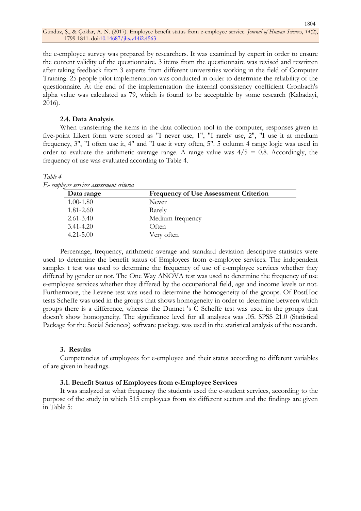the e-employee survey was prepared by researchers. It was examined by expert in order to ensure the content validity of the questionnaire. 3 items from the questionnaire was revised and rewritten after taking feedback from 3 experts from different universities working in the field of Computer Training. 25-people pilot implementation was conducted in order to determine the reliability of the questionnaire. At the end of the implementation the internal consistency coefficient Cronbach's alpha value was calculated as 79, which is found to be acceptable by some research (Kabadayi, 2016).

#### **2.4. Data Analysis**

When transferring the items in the data collection tool in the computer, responses given in five-point Likert form were scored as "I never use, 1", "I rarely use, 2", "I use it at medium frequency, 3", "I often use it, 4" and "I use it very often, 5". 5 column 4 range logic was used in order to evaluate the arithmetic average range. A range value was  $4/5 = 0.8$ . Accordingly, the frequency of use was evaluated according to Table 4.

#### *Table 4*

*E- employee services assessment criteria*

| Data range    | <b>Frequency of Use Assessment Criterion</b> |
|---------------|----------------------------------------------|
| $1.00 - 1.80$ | Never                                        |
| $1.81 - 2.60$ | Rarely                                       |
| $2.61 - 3.40$ | Medium frequency                             |
| $3.41 - 4.20$ | Often                                        |
| $4.21 - 5.00$ | Verv often                                   |

Percentage, frequency, arithmetic average and standard deviation descriptive statistics were used to determine the benefit status of Employees from e-employee services. The independent samples t test was used to determine the frequency of use of e-employee services whether they differed by gender or not. The One Way ANOVA test was used to determine the frequency of use e-employee services whether they differed by the occupational field, age and income levels or not. Furthermore, the Levene test was used to determine the homogeneity of the groups. Of PostHoc tests Scheffe was used in the groups that shows homogeneity in order to determine between which groups there is a difference, whereas the Dunnet 's C Scheffe test was used in the groups that doesn't show homogeneity. The significance level for all analyzes was .05. SPSS 21.0 (Statistical Package for the Social Sciences) software package was used in the statistical analysis of the research.

#### **3. Results**

Competencies of employees for e-employee and their states according to different variables of are given in headings.

#### **3.1. Benefit Status of Employees from e-Employee Services**

It was analyzed at what frequency the students used the e-student services, according to the purpose of the study in which 515 employees from six different sectors and the findings are given in Table 5: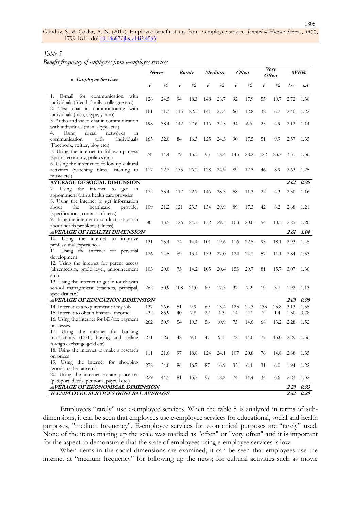1805

# *Table 5*

*Benefit frequency of employees from e-employee services*

|                                                                                                                           |     | <b>Never</b>                       |     | Rarely                  |     | Medium |      | <i>Often</i>                       |     | Very<br><i><b>Often</b></i>        |      | AVER. |  |
|---------------------------------------------------------------------------------------------------------------------------|-----|------------------------------------|-----|-------------------------|-----|--------|------|------------------------------------|-----|------------------------------------|------|-------|--|
| e-Employee Services                                                                                                       | f   | $\frac{\partial}{\partial \theta}$ | f   | $\frac{\theta}{\theta}$ | f   | %      | f    | $\frac{\partial}{\partial \theta}$ | f   | $\frac{\partial}{\partial \theta}$ | Av.  | sd    |  |
| E-mail<br>for<br>communication<br>with<br>1.<br>individuals (friend, family, colleague etc.)                              | 126 | 24.5                               | 94  | 18.3                    | 148 | 28.7   | 92   | 17.9                               | 55  | 10.7                               | 2.72 | 1.30  |  |
| 2. Text chat in communicating with<br>individuals (msn, skype, yahoo)                                                     | 161 | 31.3                               | 115 | 22.3                    | 141 | 27.4   | 66   | 12.8                               | 32  | 6.2                                | 2.40 | 1.22  |  |
| 3. Audio and video chat in communication<br>with individuals (msn, skype, etc.)                                           | 198 | 38.4                               | 142 | 27.6                    | 116 | 22.5   | 34   | 6.6                                | 25  | 4.9                                | 2.12 | 1.14  |  |
| social<br>4.<br>networks<br>Using<br>in<br>communication<br>with<br>individuals<br>(Facebook, twitter, blog etc.)         | 165 | 32.0                               | 84  | 16.3                    | 125 | 24.3   | 90   | 17.5                               | 51  | 9.9                                | 2.57 | 1.35  |  |
| 5. Using the internet to follow up news<br>(sports, economy, politics etc.)                                               | 74  | 14.4                               | 79  | 15.3                    | 95  | 18.4   | 145  | 28.2                               | 122 | 23.7                               | 3.31 | 1.36  |  |
| 6. Using the internet to follow up cultural<br>activities (watching films, listening to<br>music etc.)                    | 117 | 22.7                               | 135 | 26.2                    | 128 | 24.9   | 89   | 17.3                               | 46  | 8.9                                | 2.63 | 1.25  |  |
| <b>AVERAGE OF SOCIAL DIMENSION</b>                                                                                        |     |                                    |     |                         |     |        |      |                                    |     |                                    | 2.62 | 0.96  |  |
| 7. Using the internet to<br>get<br>an<br>appointment with a health care provider                                          | 172 | 33.4                               | 117 | 22.7                    | 146 | 28.3   | 58   | 11.3                               | 22  | 4.3                                | 2.30 | 1.16  |  |
| 8. Using the internet to get information<br>the<br>healthcare<br>provider<br>about<br>(specifications, contact info etc.) | 109 | 21.2                               | 121 | 23.5                    | 154 | 29.9   | 89   | 17.3                               | 42  | 8.2                                | 2.68 | 1.21  |  |
| 9. Using the internet to conduct a research<br>about health problems (illness)                                            | 80  | 15.5                               | 126 | 24.5                    | 152 | 29.5   | 103  | 20.0                               | 54  | 10.5                               | 2.85 | 1.20  |  |
| <b>AVERAGE OF HEALTH DIMENSION</b>                                                                                        |     |                                    |     |                         |     | 2.61   | 1.04 |                                    |     |                                    |      |       |  |
| 10. Using the internet to improve<br>professional experiences                                                             | 131 | 25.4                               | 74  | 14.4                    | 101 | 19.6   | 116  | 22.5                               | 93  | 18.1                               | 2.93 | 1.45  |  |
| 11. Using the internet for personal<br>development                                                                        | 126 | 24.5                               | 69  | 13.4                    | 139 | 27.0   | 124  | 24.1                               | 57  | 11.1                               | 2.84 | 1.33  |  |
| 12. Using the internet for parent access<br>(absenteeism, grade level, announcement<br>$etc.$ )                           | 103 | 20.0                               | 73  | 14.2                    | 105 | 20.4   | 153  | 29.7                               | 81  | 15.7                               | 3.07 | 1.36  |  |
| 13. Using the internet to get in touch with<br>school management (teachers, principal,<br>specialist etc.)                | 262 | 50.9                               | 108 | 21.0                    | 89  | 17.3   | 37   | 7.2                                | 19  | 3.7                                | 1.92 | 1.13  |  |
| AVERAGE OF EDUCATION DIMENSION                                                                                            |     |                                    |     |                         |     |        |      |                                    |     |                                    | 2.69 | 0.98  |  |
| 14. Internet as a requirement of my job                                                                                   | 137 | 26.6                               | 51  | 9.9                     | 69  | 13.4   | 125  | 24.3                               | 133 | 25.8                               | 3.13 | 1.55  |  |
| 15. Internet to obtain financial income                                                                                   | 432 | 83.9                               | 40  | 7.8                     | 22  | 4.3    | 14   | 2.7                                | 7   | 1.4                                | 1.30 | 0.78  |  |
| 16. Using the internet for bill/tax payment<br>processes                                                                  | 262 | 50.9                               | 54  | 10.5                    | 56  | 10.9   | 75   | 14.6                               | 68  | 13.2                               | 2.28 | 1.52  |  |
| 17. Using the internet for banking<br>transactions (EFT, buying and selling<br>foreign exchange-gold etc)                 | 271 | 52.6                               | 48  | 9.3                     | 47  | 9.1    | 72   | 14.0                               | 77  | 15.0                               | 2.29 | 1.56  |  |
| 18. Using the internet to make a research<br>on prices                                                                    | 111 | 21.6                               | 97  | 18.8                    | 124 | 24.1   | 107  | 20.8                               | 76  | 14.8                               | 2.88 | 1.35  |  |
| 19. Using the internet for shopping<br>(goods, real estate etc.)                                                          | 278 | 54.0                               | 86  | 16.7                    | 87  | 16.9   | 33   | 6.4                                | 31  | 6.0                                | 1.94 | 1.22  |  |
| 20. Using the internet e-state processes<br>(passport, deeds, petitions, payroll etc.)                                    | 229 | 44.5                               | 81  | 15.7                    | 97  | 18.8   | 74   | 14.4                               | 34  | 6.6                                | 2.23 | 1.32  |  |
| <b>AVERAGE OF EKONOMICAL DIMENSION</b>                                                                                    |     |                                    |     |                         |     |        |      |                                    |     |                                    | 2.29 | 0.93  |  |
| E-EMPLOYEE SERVICES GENERAL AVERAGE<br>2.52                                                                               |     |                                    |     |                         |     |        |      | 0.80                               |     |                                    |      |       |  |

Employees "rarely" use e-employee services. When the table 5 is analyzed in terms of subdimensions, it can be seen that employees use e-employee services for educational, social and health purposes, "medium frequency". E-employee services for economical purposes are "rarely" used. None of the items making up the scale was marked as "often" or "very often" and it is important for the aspect to demonstrate that the state of employees using e-employee services is low.

When items in the social dimensions are examined, it can be seen that employees use the internet at "medium frequency" for following up the news; for cultural activities such as movie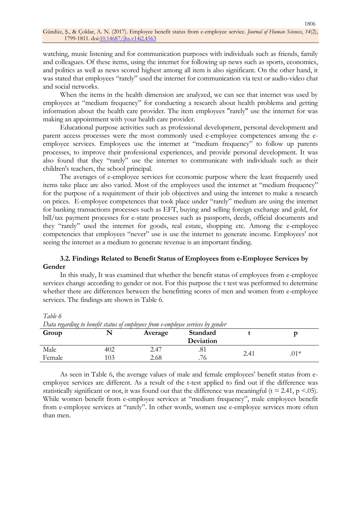watching, music listening and for communication purposes with individuals such as friends, family and colleagues. Of these items, using the internet for following up news such as sports, economics, and politics as well as news scored highest among all item is also significant. On the other hand, it was stated that employees "rarely" used the internet for communication via text or audio-video chat and social networks.

When the items in the health dimension are analyzed, we can see that internet was used by employees at "medium frequency" for conducting a research about health problems and getting information about the health care provider. The item employees "rarely" use the internet for was making an appointment with your health care provider.

Educational purpose activities such as professional development, personal development and parent access processes were the most commonly used e-employee competences among the eemployee services. Employees use the internet at "medium frequency" to follow up parents processes, to improve their professional experiences, and provide personal development. It was also found that they "rarely" use the internet to communicate with individuals such as their children's teachers, the school principal.

The averages of e-employee services for economic purpose where the least frequently used items take place are also varied. Most of the employees used the internet at "medium frequency" for the purpose of a requirement of their job objectives and using the internet to make a research on prices. E-employee competences that took place under "rarely" medium are using the internet for banking transactions processes such as EFT, buying and selling foreign exchange and gold, for bill/tax payment processes for e-state processes such as passports, deeds, official documents and they "rarely" used the internet for goods, real estate, shopping etc. Among the e-employee competencies that employees "never" use is use the internet to generate income. Employees' not seeing the internet as a medium to generate revenue is an important finding.

# **3.2. Findings Related to Benefit Status of Employees from e-Employee Services by Gender**

In this study, It was examined that whether the benefit status of employees from e-employee services change according to gender or not. For this purpose the t test was performed to determine whether there are differences between the benefitting scores of men and women from e-employee services. The findings are shown in Table 6.

*Table 6*

| Data regarding to benefit status of employees from e-employee services by genuer |     |         |           |      |        |  |  |  |
|----------------------------------------------------------------------------------|-----|---------|-----------|------|--------|--|--|--|
| Group                                                                            |     | Average | Standard  |      |        |  |  |  |
|                                                                                  |     |         | Deviation |      |        |  |  |  |
| Male                                                                             | 402 | 2.47    | .01       | 2.41 | $.01*$ |  |  |  |
| Female                                                                           | .03 | 2.68    | .76       |      |        |  |  |  |

Data regarding to benefit status of employees from a employee services by gender

As seen in Table 6, the average values of male and female employees' benefit status from eemployee services are different. As a result of the t-test applied to find out if the difference was statistically significant or not, it was found out that the difference was meaningful ( $t = 2.41$ ,  $p < 0.05$ ). While women benefit from e-employee services at "medium frequency", male employees benefit from e-employee services at "rarely". In other words, women use e-employee services more often than men.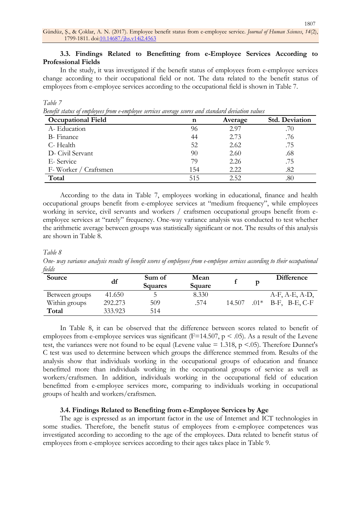# **3.3. Findings Related to Benefitting from e-Employee Services According to Professional Fields**

In the study, it was investigated if the benefit status of employees from e-employee services change according to their occupational field or not. The data related to the benefit status of employees from e-employee services according to the occupational field is shown in Table 7.

# *Benefit status of employees from e-employee services average scores and standard deviation values*

| <b>Occupational Field</b> | n   | Average | <b>Std. Deviation</b> |
|---------------------------|-----|---------|-----------------------|
| A-Education               | 96  | 2.97    | .70                   |
| <b>B</b> -Finance         | 44  | 2.73    | .76                   |
| C-Health                  | 52  | 2.62    | .75                   |
| D- Civil Servant          | 90  | 2.60    | .68                   |
| E-Service                 | 79  | 2.26    | .75                   |
| F-Worker / Craftsmen      | 154 | 2.22    | .82                   |
| Total                     | 515 | 2.52.   | .80                   |

According to the data in Table 7, employees working in educational, finance and health occupational groups benefit from e-employee services at "medium frequency", while employees working in service, civil servants and workers / craftsmen occupational groups benefit from eemployee services at "rarely" frequency. One-way variance analysis was conducted to test whether the arithmetic average between groups was statistically significant or not. The results of this analysis are shown in Table 8.

### *Table 8*

*Table 7*

*One- way variance analysis results of benefit scores of employees from e-employee services according to their occupational fields*

| Source         | df      | Sum of<br>Squares | Mean<br>Square |        | D      | <b>Difference</b>     |
|----------------|---------|-------------------|----------------|--------|--------|-----------------------|
| Between groups | 41.650  |                   | 8.330          |        |        | $A-F, A-E, A-D,$      |
| Within groups  | 292.273 | 509               | .574           | 14.507 | $.01*$ | $B-F$ , $B-E$ , $C-F$ |
| Total          | 333.923 | 514               |                |        |        |                       |

In Table 8, it can be observed that the difference between scores related to benefit of employees from e-employee services was significant ( $F=14.507$ ,  $p < .05$ ). As a result of the Levene test, the variances were not found to be equal (Levene value  $= 1.318$ , p <.05). Therefore Dunnet's C test was used to determine between which groups the difference stemmed from. Results of the analysis show that individuals working in the occupational groups of education and finance benefitted more than individuals working in the occupational groups of service as well as workers/craftsmen. In addition, individuals working in the occupational field of education benefitted from e-employee services more, comparing to individuals working in occupational groups of health and workers/craftsmen.

# **3.4. Findings Related to Benefiting from e-Employee Services by Age**

The age is expressed as an important factor in the use of Internet and ICT technologies in some studies. Therefore, the benefit status of employees from e-employee competences was investigated according to according to the age of the employees. Data related to benefit status of employees from e-employee services according to their ages takes place in Table 9.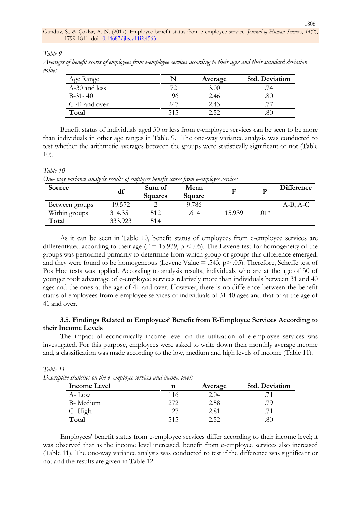*Table 9*

*Table 10*

*Averages of benefit scores of employees from e-employee services according to their ages and their standard deviation values*

| Age Range     | N   | Average | <b>Std. Deviation</b> |
|---------------|-----|---------|-----------------------|
| A-30 and less |     | 3.00    |                       |
| $B-31-40$     | 196 | 2.46    | .80                   |
| C-41 and over | 247 | 2.43    |                       |
| Total         | 515 | つ らつ    | .80                   |

Benefit status of individuals aged 30 or less from e-employee services can be seen to be more than individuals in other age ranges in Table 9. The one-way variance analysis was conducted to test whether the arithmetic averages between the groups were statistically significant or not (Table 10).

| One- way variance analysis results of employee benefit scores from e-employee services |         |                          |                       |        |       |                   |  |
|----------------------------------------------------------------------------------------|---------|--------------------------|-----------------------|--------|-------|-------------------|--|
| Source                                                                                 | df      | Sum of<br><b>Squares</b> | <b>Mean</b><br>Square | F      | D     | <b>Difference</b> |  |
| Between groups                                                                         | 19.572  |                          | 9.786                 |        |       | $A-B, A-C$        |  |
| Within groups                                                                          | 314.351 | 512                      | .614                  | 15.939 | $01*$ |                   |  |
| Total                                                                                  | 333.923 | 514                      |                       |        |       |                   |  |

As it can be seen in Table 10, benefit status of employees from e-employee services are differentiated according to their age ( $F = 15.939$ ,  $p < .05$ ). The Levene test for homogeneity of the groups was performed primarily to determine from which group or groups this difference emerged, and they were found to be homogeneous (Levene Value  $= .543$ , p $> .05$ ). Therefore, Scheffe test of PostHoc tests was applied. According to analysis results, individuals who are at the age of 30 of younger took advantage of e-employee services relatively more than individuals between 31 and 40 ages and the ones at the age of 41 and over. However, there is no difference between the benefit status of employees from e-employee services of individuals of 31-40 ages and that of at the age of 41 and over.

# **3.5. Findings Related to Employees' Benefit from E-Employee Services According to their Income Levels**

The impact of economically income level on the utilization of e-employee services was investigated. For this purpose, employees were asked to write down their monthly average income and, a classification was made according to the low, medium and high levels of income (Table 11).

| tive statistics on the e- employee services and income levels<br>Income Level |      | Average | <b>Std. Deviation</b> |
|-------------------------------------------------------------------------------|------|---------|-----------------------|
| $A-I_0w$                                                                      | 116  | 2.04    |                       |
| B- Medium                                                                     | 2.72 | 2.58    | .79                   |
| C-High                                                                        | 127  | 2.81    |                       |
| Total                                                                         | 515  | 2.52    |                       |

*Table 11*  $Descripti$ 

Employees' benefit status from e-employee services differ according to their income level; it was observed that as the income level increased, benefit from e-employee services also increased (Table 11). The one-way variance analysis was conducted to test if the difference was significant or not and the results are given in Table 12.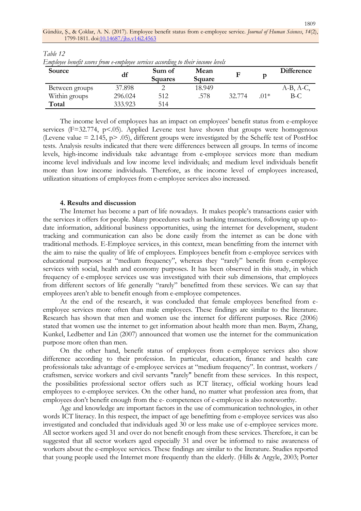1809

| Source         | df      | Sum of<br><b>Squares</b> | Mean<br>Square | F      |       | <b>Difference</b> |
|----------------|---------|--------------------------|----------------|--------|-------|-------------------|
| Between groups | 37.898  |                          | 18.949         |        |       | $A-B, A-C,$       |
| Within groups  | 296.024 | 512                      | .578           | 32.774 | $01*$ | $B-C$             |
| Total          | 333.923 | 514                      |                |        |       |                   |

*Table 12 Employee benefit scores from e-employee services according to their income levels*

The income level of employees has an impact on employees' benefit status from e-employee services ( $F=32.774$ ,  $p<.05$ ). Applied Levene test have shown that groups were homogenous (Levene value = 2.145, p> .05), different groups were investigated by the Scheffe test of PostHoc tests. Analysis results indicated that there were differences between all groups. In terms of income levels, high-income individuals take advantage from e-employee services more than medium income level individuals and low income level individuals; and medium level individuals benefit more than low income individuals. Therefore, as the income level of employees increased, utilization situations of employees from e-employee services also increased.

#### **4. Results and discussion**

The Internet has become a part of life nowadays. It makes people's transactions easier with the services it offers for people. Many procedures such as banking transactions, following up up-todate information, additional business opportunities, using the internet for development, student tracking and communication can also be done easily from the internet as can be done with traditional methods. E-Employee services, in this context, mean benefitting from the internet with the aim to raise the quality of life of employees. Employees benefit from e-employee services with educational purposes at "medium frequency", whereas they "rarely" benefit from e-employee services with social, health and economy purposes. It has been observed in this study, in which frequency of e-employee services use was investigated with their sub dimensions, that employees from different sectors of life generally "rarely" benefitted from these services. We can say that employees aren't able to benefit enough from e-employee competences.

At the end of the research, it was concluded that female employees benefited from eemployee services more often than male employees. These findings are similar to the literature. Research has shown that men and women use the internet for different purposes. Rice (2006) stated that women use the internet to get information about health more than men. Baym, Zhang, Kunkel, Ledbetter and Lin (2007) announced that women use the internet for the communication purpose more often than men.

On the other hand, benefit status of employees from e-employee services also show difference according to their profession. In particular, education, finance and health care professionals take advantage of e-employee services at "medium frequency". In contrast, workers / craftsmen, service workers and civil servants "rarely" benefit from these services. In this respect, the possibilities professional sector offers such as ICT literacy, official working hours lead employees to e-employee services. On the other hand, no matter what profession area from, that employees don't benefit enough from the e- competences of e-employee is also noteworthy.

Age and knowledge are important factors in the use of communication technologies, in other words ICT literacy. In this respect, the impact of age benefitting from e-employee services was also investigated and concluded that individuals aged 30 or less make use of e-employee services more. All sector workers aged 31 and over do not benefit enough from these services. Therefore, it can be suggested that all sector workers aged especially 31 and over be informed to raise awareness of workers about the e-employee services. These findings are similar to the literature. Studies reported that young people used the Internet more frequently than the elderly. (Hills & Argyle, 2003; Porter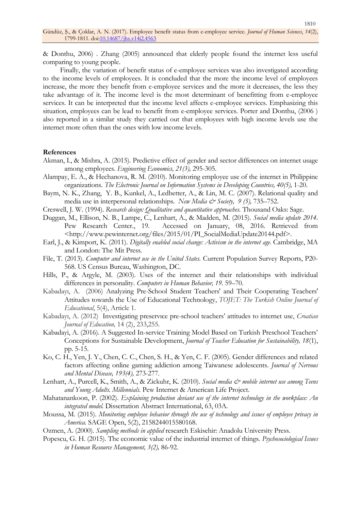& Donthu, 2006) . Zhang (2005) announced that elderly people found the internet less useful comparing to young people.

Finally, the variation of benefit status of e-employee services was also investigated according to the income levels of employees. It is concluded that the more the income level of employees increase, the more they benefit from e-employee services and the more it decreases, the less they take advantage of it. The income level is the most determinant of benefitting from e-employee services. It can be interpreted that the income level affects e-employee services. Emphasizing this situation, employees can be lead to benefit from e-employee services. Porter and Donthu, (2006 ) also reported in a similar study they carried out that employees with high income levels use the internet more often than the ones with low income levels.

#### **References**

- Akman, I., & Mishra, A. (2015). Predictive effect of gender and sector differences on internet usage among employees. *Engineering Economics, 21(3),* 295-305.
- Alampay, E. A., & Hechanova, R. M. (2010). Monitoring employee use of the internet in Philippine organizations. *The Electronic Journal on Information Systems in Developing Countries, 40(5),* 1-20.
- Baym, N. K., Zhang, Y. B., Kunkel, A., Ledbetter, A., & Lin, M. C. (2007). Relational quality and media use in interpersonal relationships. *New Media & Society, 9 (5),* 735–752.
- Creswell, J. W. (1994). *Research design: Qualitative and quantitative approaches.* Thousand Oaks: Sage.
- Duggan, M., Ellison, N. B., Lampe, C., Lenhart, A., & Madden, M. (2015). *Social media update 2014*. Pew Research Center., 19. Accessed on January, 08, 2016. Retrieved from <http://www.pewinternet.org/files/2015/01/PI\_SocialMediaUpdate20144.pdf>.
- Earl, J., & Kimport, K. (2011). *Digitally enabled social change: Activism in the internet age.* Cambridge, MA and London: The Mit Press.
- File, T. (2013). *Computer and internet use in the United States.* Current Population Survey Reports, P20- 568. US Census Bureau, Washington, DC.
- Hills, P., & Argyle, M. (2003). Uses of the internet and their relationships with individual differences in personality. *Computers in Human Behavior, 19.* 59–70.
- Kabadayı, A. (2006) [Analyzing Pre-School Student Teachers' and Their Cooperating Teachers'](https://scholar.google.com.tr/scholar?oi=bibs&cluster=12189447747646750485&btnI=1&hl=tr)  [Attitudes towards the Use of Educational Technology,](https://scholar.google.com.tr/scholar?oi=bibs&cluster=12189447747646750485&btnI=1&hl=tr) *TOJET: The Turkish Online Journal of Educational*, 5(4), Article 1.
- Kabadayı, A. (2012) Investigating preservıce pre-[school teachers' attitudes to internet use](https://scholar.google.com.tr/scholar?oi=bibs&cluster=4692385029289367261&btnI=1&hl=tr), *Croatian Journal of Education,* 14 (2), 233,255.
- Kabadayi, A. (2016). A Suggested In-service Training Model Based on Turkish Preschool Teachers' Conceptions for Sustainable Development, *Journal of Teacher Education for Sustainability, 18*(1), pp. 5-15.
- [Ko, C.](http://www.scopus.com/authid/detail.url?authorId=8716479100&eid=2-s2.0-17044390819) H., [Yen, J.](http://www.scopus.com/authid/detail.url?authorId=8689832700&eid=2-s2.0-17044390819) Y., [Chen, C.](http://www.scopus.com/authid/detail.url?authorId=34871466500&eid=2-s2.0-17044390819) C., [Chen, S.](http://www.scopus.com/authid/detail.url?authorId=7410255745&eid=2-s2.0-17044390819) H., & [Yen, C.](http://www.scopus.com/authid/detail.url?authorId=7202149068&eid=2-s2.0-17044390819) F. (2005). Gender differences and related factors affecting online gaming addiction among Taiwanese adolescents. *Journal of Nervous and Mental Disease, 193(4),* 273-277.
- Lenhart, A., Purcell, K., Smith, A., & Zickuhr, K. (2010). *Social media & mobile internet use among Teens and Young Adults. Millennials.* Pew Internet & American Life Project.
- Mahatanankoon, P. (2002). *Explaining production deviant use of the internet technology in the workplace: An integrated model.* Dissertation Abstract International, 63, 03A.
- Moussa, M. (2015). *Monitoring employee behavior through the use of technology and issues of employee privacy in America.* SAGE Open, 5(2), 2158244015580168.

Ozmen, A. (2000). *Sampling methods in applied* research Eskisehir: Anadolu University Press.

Popescu, G. H. (2015). The economic value of the industrial internet of things. *Psychosociological Issues in Human Resource Management, 3(2),* 86-92.